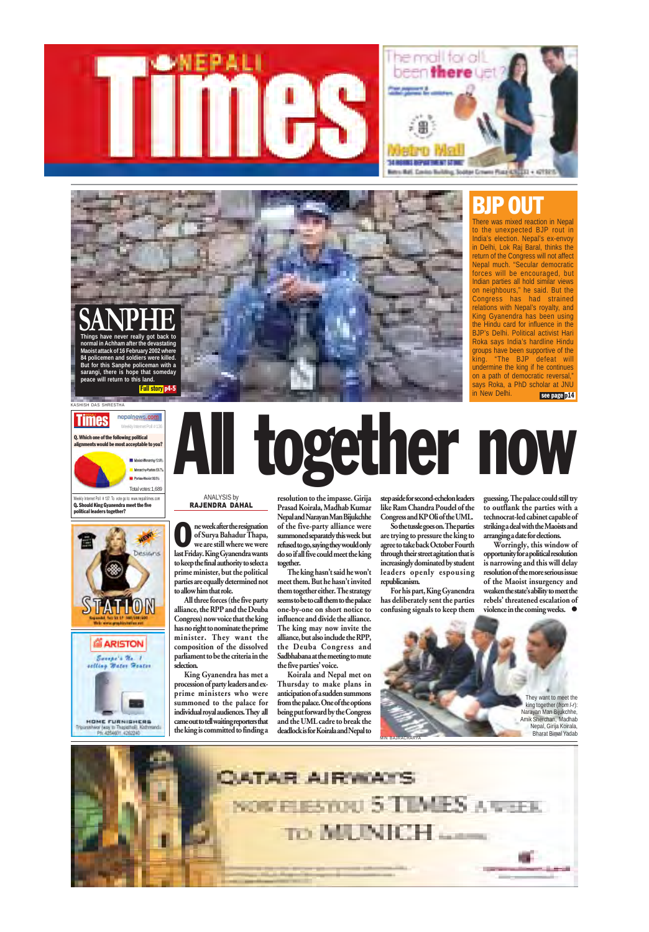Weekly Internet Poll # 137. To vote go to: www.nepalitimes.com Q. Should King Gyanendra meet the five political leaders together?



# Times repelrews.com<br>is alignments would be most acceptable to you?<br>alignments would be most acceptable to you?<br>and the contract coeptable to you?



#### Q. Which one of the following political

#### KASHISH DAS SHRESTHA

#### Weekly Internet Poll #136

All three forces (the five party alliance, the RPP and the Deuba Congress) now voice that the king selection.

resolution to the impasse. Girija Prasad Koirala, Madhab Kumar Nepal and Narayan Man Bijukchhe of the five-party alliance were summoned separately this week but refused to go, saying they would only do so if all five could meet the king together.

Worringly, this window of opportunity for a political resolution is narrowing and this will delay resolution of the more serious issue of the Maoist insurgency and weaken the state's ability to meet the rebels' threatened escalation of violence in the coming weeks.  $\bullet$ 

The king hasn't said he won't meet them. But he hasn't invited them together either. The strategy seems to be to call them to the palace one-by-one on short notice to influence and divide the alliance.

There was mixed reaction in Nepal to the unexpected BJP rout in India's election. Nepal's ex-envoy in Delhi, Lok Raj Baral, thinks the return of the Congress will not affect Nepal much. "Secular democratic forces will be encouraged, but Indian parties all hold similar views on neighbours," he said. But the Congress has had strained relations with Nepal's royalty, and King Gyanendra has been using the Hindu card for influence in the BJP's Delhi. Political activist Hari Roka says India's hardline Hindu groups have been supportive of the king. "The BJP defeat will undermine the king if he continues on a path of democratic reversal, says Roka, a PhD scholar at JNU in New Delhi. see page p14



ne week after the resignation of Surya Bahadur Thapa, we are still where we were last Friday. King Gyanendra wants to keep the final authority to select a prime minister, but the political parties are equally determined not to allow him that role. O





step aside for second-echelon leaders like Ram Chandra Poudel of the Congress and KP Oli of the UML.

So the tussle goes on. The parties are trying to pressure the king to agree to take back October Fourth through their street agitation that is increasingly dominated by student leaders openly espousing republicanism.

For his part, King Gyanendra has deliberately sent the parties confusing signals to keep them

guessing. The palace could still try to outflank the parties with a technocrat-led cabinet capable of striking a deal with the Maoists and arranging a date for elections.

#### ANALYSIS by RAJENDRA DAHAL

king together (*from l-r*): Narayan Man Bijukchhe, Nepal, Girija Koirala,







**normal in Achham after the devastating Maoist attack of 16 February 2002 where 84 policemen and soldiers were killed. But for this Sanphe policeman with a sarangi, there is hope that someday peace will return to this land.**

#### Full story p4-5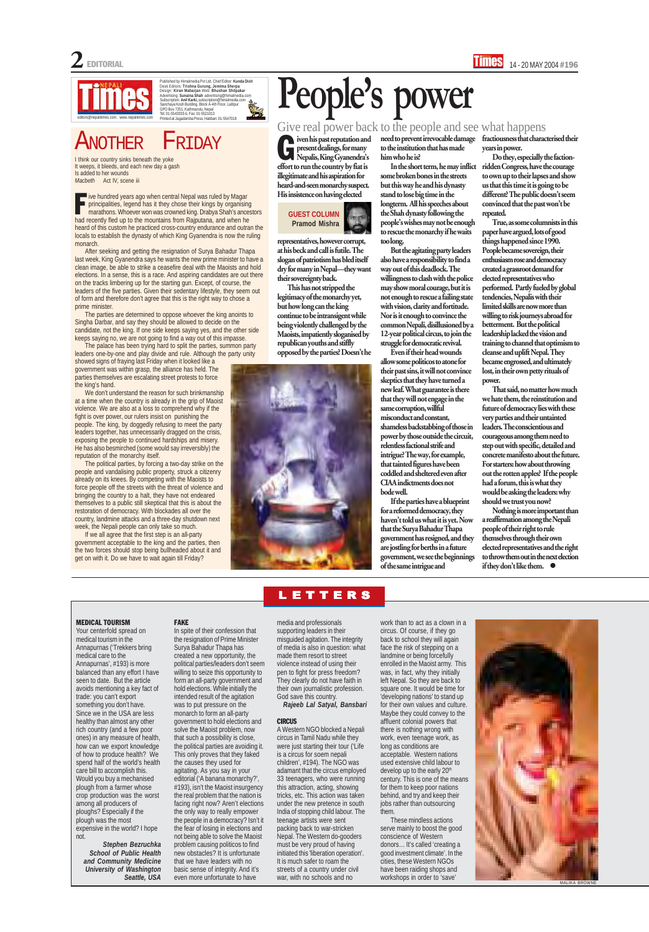

#### Published by Himalmedia Pvt Ltd, Chief Editor: Kunda Dixit<br>Desk Editors: Trishna Gurung, Jemima Sherpa<br>Design: Kiran Maharjan Web: Bhushan Shilpakar<br>Advertising: Sunatina Shah advertising@himalmedia.com<br>Subscription: Anil n e reserved en resultats resultants in 15547018<br>Inted at Jagadamba Press, Hatiban: 01-5547018

#### Another Friday

FAKE

In spite of their confession that

the resignation of Prime Minister Surya Bahadur Thapa has created a new opportunity, the political parties/leaders don't seem willing to seize this opportunity to form an all-party government and hold elections. While initially the intended result of the agitation was to put pressure on the monarch to form an all-party government to hold elections and solve the Maoist problem, now that such a possibility is close, the political parties are avoiding it. This only proves that they faked the causes they used for agitating. As you say in your editorial ('A banana monarchy?', #193), isn't the Maoist insurgency the real problem that the nation is facing right now? Aren't elections the only way to really empower the people in a democracy? Isn't it the fear of losing in elections and not being able to solve the Maoist problem causing politicos to find new obstacles? It is unfortunate that we have leaders with no basic sense of integrity. And it's even more unfortunate to have

#### MEDICAL TOURISM

Your centerfold spread on medical tourism in the

ven his past reputation and<br>present dealings, for many<br>Nepalis, King Gyanendra's present dealings, for many Nepalis, King Gyanendra's effort to run the country by fiat is illegitimate and his aspiration for heard-and-seen monarchy suspect. His insistence on having elected

Annapurnas ('Trekkers bring medical care to the Annapurnas', #193) is more balanced than any effort I have seen to date. But the article avoids mentioning a key fact of trade: you can't export something you don't have. Since we in the USA are less healthy than almost any other rich country (and a few poor ones) in any measure of health, how can we export knowledge of how to produce health? We spend half of the world's health care bill to accomplish this. Would you buy a mechanised plough from a farmer whose crop production was the worst among all producers of ploughs? Especially if the plough was the most expensive in the world? I hope not.

*Stephen Bezruchka School of Public Health and Community Medicine University of Washington Seattle, USA*

media and professionals supporting leaders in their misguided agitation. The integrity

of media is also in question: what made them resort to street violence instead of using their pen to fight for press freedom? They clearly do not have faith in their own journalistic profession. God save this country.

*Rajeeb Lal Satyal, Bansbari*

#### **CIRCUS**

A Western NGO blocked a Nepali circus in Tamil Nadu while they were just starting their tour ('Life is a circus for soem nepali children', #194). The NGO was adamant that the circus employed 33 teenagers, who were running this attraction, acting, showing tricks, etc. This action was taken under the new pretence in south India of stopping child labour. The teenage artists were sent packing back to war-stricken Nepal. The Western do-gooders must be very proud of having initiated this 'liberation operation'. It is much safer to roam the streets of a country under civil war, with no schools and no

Nothing is more important than a reaffirmation among the Nepali people of their right to rule themselves through their own elected representatives and the right to throw them out in the next election if they don't like them.  $\bullet$ 

#### **TTERS**

I think our country sinks beneath the yoke It weeps, it bleeds, and each new day a gash Is added to her wounds *Macbeth* Act IV, scene iii

> representatives, however corrupt, at his beck and call is futile. The slogan of patriotism has bled itself dry for many in Nepal—they want their sovereignty back.

This has not stripped the legitimacy of the monarchy yet, but how long can the king continue to be intransigent while being violently challenged by the Maoists, impatiently sloganised by republican youths and stiffly opposed by the parties? Doesn't he



need to prevent irrevocable damage to the institution that has made him who he is?

In the short term, he may inflict some broken bones in the streets but this way he and his dynasty stand to lose big time in the longterm. All his speeches about the Shah dynasty following the people's wishes may not be enough to rescue the monarchy if he waits too long.

But the agitating party leaders also have a responsibility to find a way out of this deadlock. The willingness to clash with the police may show moral courage, but it is not enough to rescue a failing state with vision, clarity and fortitude. Nor is it enough to convince the common Nepali, disillusioned by a 12-year political circus, to join the struggle for democratic revival.

We don't understand the reason for such brinkmanship at a time when the country is already in the grip of Maoist violence. We are also at a loss to comprehend why if the fight is over power, our rulers insist on punishing the people. The king, by doggedly refusing to meet the party leaders together, has unnecessarily dragged on the crisis, exposing the people to continued hardships and misery. He has also besmirched (some would say irreversibly) the reputation of the monarchy itself.

Even if their head wounds allow some politicos to atone for their past sins, it will not convince skeptics that they have turned a new leaf. What guarantee is there that they will not engage in the same corruption, willful misconduct and constant, shameless backstabbing of those in power by those outside the circuit, relentless factional strife and intrigue? The way, for example, that tainted figures have been coddled and sheltered even after CIAA indictments does not bode well.

ve hundred years ago when central Nepal was ruled by Magar principalities, legend has it they chose their kings by organising marathons. Whoever won was crowned king. Drabya Shah's ancestors had recently fled up to the mountains from Rajputana, and when he heard of this custom he practiced cross-country endurance and outran the locals to establish the dynasty of which King Gyanendra is now the ruling monarch. F

> If the parties have a blueprint for a reformed democracy, they haven't told us what it is yet. Now that the Surya Bahadur Thapa government has resigned, and they are jostling for berths in a future government, we see the beginnings of the same intrigue and

serve mainly to boost the good conscience of Western donors… It's called 'creating a good investment climate'. In the cities, these Western NGOs have been raiding shops and workshops in order to 'save'

fractiousness that characterised their years in power.

Do they, especially the factionridden Congress, have the courage to own up to their lapses and show us that this time it is going to be different? The public doesn't seem convinced that the past won't be repeated.

True, as some columnists in this paper have argued, lots of good things happened since 1990. People became sovereign, their enthusiasm rose and democracy created a grassroot demand for elected representatives who performed. Partly fueled by global tendencies, Nepalis with their limited skills are now more than willing to risk journeys abroad for betterment. But the political leadership lacked the vision and training to channel that optimism to cleanse and uplift Nepal. They became engrossed, and ultimately lost, in their own petty rituals of power.

That said, no matter how much we hate them, the reinstitution and future of democracy lies with these very parties and their untainted leaders. The conscientious and courageous among them need to step out with specific, detailed and concrete manifesto about the future. For starters: how about throwing out the rotten apples? If the people had a forum, this is what they would be asking the leaders: why should we trust you now?

#### Give real power back to the people and see what happens

## **People's power**



After seeking and getting the resignation of Surya Bahadur Thapa last week, King Gyanendra says he wants the new prime minister to have a clean image, be able to strike a ceasefire deal with the Maoists and hold elections. In a sense, this is a race. And aspiring candidates are out there on the tracks limbering up for the starting gun. Except, of course, the leaders of the five parties. Given their sedentary lifestyle, they seem out of form and therefore don't agree that this is the right way to chose a prime minister.

The parties are determined to oppose whoever the king anoints to Singha Darbar, and say they should be allowed to decide on the candidate, not the king. If one side keeps saying yes, and the other side keeps saying no, we are not going to find a way out of this impasse.

The palace has been trying hard to split the parties, summon party leaders one-by-one and play divide and rule. Although the party unity

showed signs of fraying last Friday when it looked like a government was within grasp, the alliance has held. The parties themselves are escalating street protests to force the king's hand.

The political parties, by forcing a two-day strike on the people and vandalising public property, struck a citizenry already on its knees. By competing with the Maoists to force people off the streets with the threat of violence and bringing the country to a halt, they have not endeared themselves to a public still skeptical that this is about the restoration of democracy. With blockades all over the country, landmine attacks and a three-day shutdown next week, the Nepali people can only take so much.

If we all agree that the first step is an all-party government acceptable to the king and the parties, then the two forces should stop being bullheaded about it and get on with it. Do we have to wait again till Friday?

> work than to act as a clown in a circus. Of course, if they go back to school they will again



face the risk of stepping on a landmine or being forcefully enrolled in the Maoist army. This was, in fact, why they initially left Nepal. So they are back to square one. It would be time for 'developing nations' to stand up for their own values and culture. Maybe they could convey to the affluent colonial powers that there is nothing wrong with work, even teenage work, as long as conditions are acceptable. Western nations used extensive child labour to develop up to the early 20<sup>th</sup> century. This is one of the means for them to keep poor nations behind, and try and keep their jobs rather than outsourcing them. These mindless actions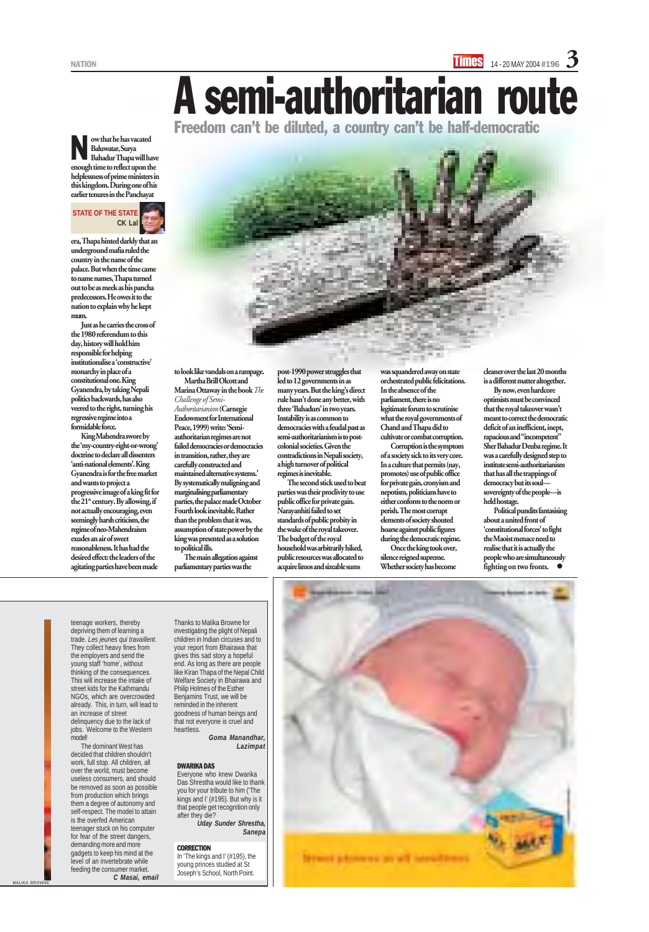

era, Thapa hinted darkly that an underground mafia ruled the country in the name of the palace. But when the time came to name names, Thapa turned out to be as meek as his pancha predecessors. He owes it to the nation to explain why he kept mum.

Just as he carries the cross of the 1980 referendum to this day, history will hold him responsible for helping institutionalise a 'constructive' monarchy in place of a constitutional one. King Gyanendra, by taking Nepali politics backwards, has also veered to the right, turning his regressive regime into a formidable force.

King Mahendra swore by the 'my-country-right-or-wrong' doctrine to declare all dissenters 'anti-national elements'. King Gyanendra is for the free market and wants to project a progressive image of a king fit for the 21<sup>st</sup> century. By allowing, if not actually encouraging, even seemingly harsh criticism, the regime of neo-Mahendraism exudes an air of sweet reasonableness. It has had the desired effect: the leaders of the agitating parties have been made

to look like vandals on a rampage. Martha Brill Olcott and

Marina Ottaway in the book *The Challenge of Semi-Authoritarianism* (Carnegie Endowment for International Peace, 1999) write: 'Semiauthoritarian regimes are not failed democracies or democracies in transition, rather, they are carefully constructed and maintained alternative systems.' By systematically maligning and marginalising parliamentary parties, the palace made October Fourth look inevitable. Rather than the problem that it was, assumption of state power by the king was presented as a solution to political ills.

The main allegation against parliamentary parties was the

post-1990 power struggles that led to 12 governments in as many years. But the king's direct rule hasn't done any better, with three 'Bahadurs' in two years. Instability is as common to democracies with a feudal past as semi-authoritarianism is to postcolonial societies. Given the contradictions in Nepali society, a high turnover of political regimes is inevitable.

The second stick used to beat parties was their proclivity to use public office for private gain. Narayanhiti failed to set standards of public probity in the wake of the royal takeover. The budget of the royal household was arbitrarily hiked, public resources was allocated to acquire limos and sizeable sums

A semi-authoritarian route

Freedom can't be diluted, a country can't be half-democratic

Political pundits fantasising about a united front of 'constitutional forces' to fight the Maoist menace need to realise that it is actually the people who are simultaneously fighting on two fronts.

teenage workers, thereby depriving them of learning a trade. *Les jeunes qui travaillent*.

ow that he has vacated Baluwatar, Surya Bahadur Thapa will have enough time to reflect upon the helplessness of prime ministers in this kingdom. During one of his earlier tenures in the Panchayat N

They collect heavy fines from the employers and send the young staff 'home', without thinking of the consequences. This will increase the intake of street kids for the Kathmandu NGOs, which are overcrowded already. This, in turn, will lead to an increase of street delinquency due to the lack of jobs. Welcome to the Western model!

The dominant West has decided that children shouldn't work, full stop. All children, all over the world, must become useless consumers, and should be removed as soon as possible from production which brings them a degree of autonomy and self-respect. The model to attain is the overfed American teenager stuck on his computer for fear of the street dangers, demanding more and more gadgets to keep his mind at the level of an invertebrate while feeding the consumer market. *C Masai, email*

Thanks to Malika Browne for investigating the plight of Nepali children in Indian circuses and to

your report from Bhairawa that gives this sad story a hopeful end. As long as there are people like Kiran Thapa of the Nepal Child Welfare Society in Bhairawa and Philip Holmes of the Esther Benjamins Trust, we will be reminded in the inherent goodness of human beings and that not everyone is cruel and heartless.

*Goma Manandhar, Lazimpat*

#### DWARIKA DAS

Everyone who knew Dwarika Das Shrestha would like to thank you for your tribute to him ('The kings and I' (#195). But why is it that people get recognition only after they die? *Uday Sunder Shrestha,*

*Sanepa*

#### **CORRECTION**

In 'The kings and I' (#195), the young princes studied at St Joseph's School, North Point.



was squandered away on state orchestrated public felicitations. In the absence of the parliament, there is no legitimate forum to scrutinise what the royal governments of Chand and Thapa did to cultivate or combat corruption.

Corruption is the symptom of a society sick to its very core. In a culture that permits (nay, promotes) use of public office for private gain, cronyism and nepotism, politicians have to either conform to the norm or perish. The most corrupt elements of society shouted hoarse against public figures during the democratic regime.

Once the king took over, silence reigned supreme. Whether society has become

cleaner over the last 20 months is a different matter altogether. By now, even hardcore optimists must be convinced that the royal takeover wasn't meant to correct the democratic deficit of an inefficient, inept, rapacious and "incompetent" Sher Bahadur Deuba regime. It was a carefully designed step to institute semi-authoritarianism that has all the trappings of democracy but its soul sovereignty of the people—is held hostage.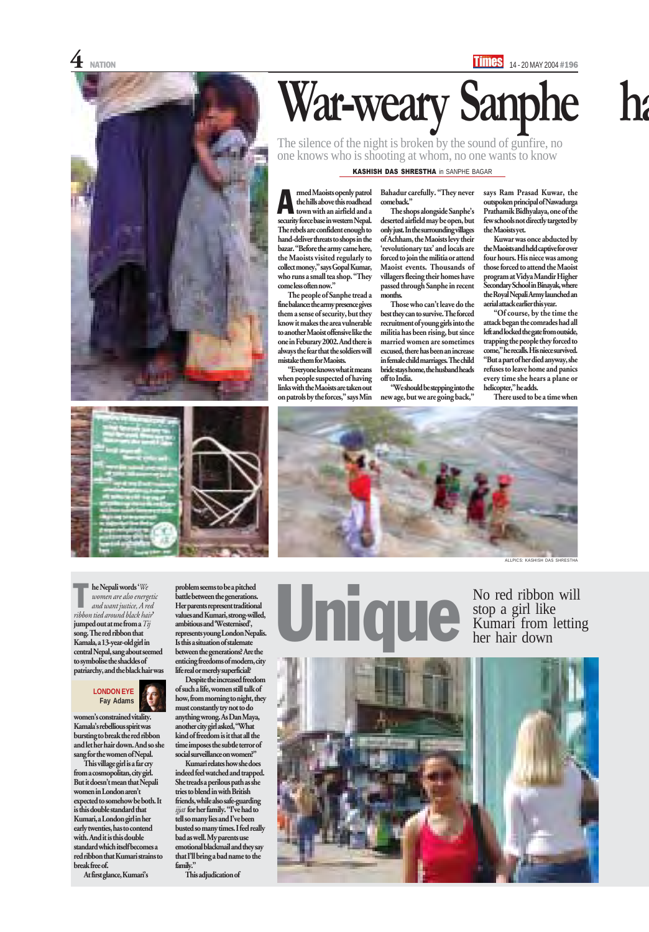



# War-weary Sanphe

Bahadur carefully. "They never come back."

The people of Sanphe tread a fine balance: the army presence gives them a sense of security, but they know it makes the area vulnerable to another Maoist offensive like the one in Feburary 2002. And there is always the fear that the soldiers will mistake them for Maoists.

"Everyone knows what it means when people suspected of having links with the Maoists are taken out on patrols by the forces," says Min

The silence of the night is broken by the sound of gunfire, no one knows who is shooting at whom, no one wants to know

> The shops alongside Sanphe's deserted airfield may be open, but only just. In the surrounding villages of Achham, the Maoists levy their 'revolutionary tax' and locals are forced to join the militia or attend Maoist events. Thousands of villagers fleeing their homes have passed through Sanphe in recent months.

rmed Maoists openly patrol the hills above this roadhead town with an airfield and a security force base in western Nepal. The rebels are confident enough to hand-deliver threats to shops in the bazar. "Before the army came here, the Maoists visited regularly to collect money," says Gopal Kumar, who runs a small tea shop. "They come less often now." A

> Those who can't leave do the best they can to survive. The forced recruitment of young girls into the militia has been rising, but since married women are sometimes excused, there has been an increase in female child marriages. The child bride stays home, the husband heads off to India.

"We should be stepping into the new age, but we are going back,"

No red ribbon will stop a girl like No red ribbon will<br>
Stop a girl like<br>
Kumari from letting<br>
her hair down

says Ram Prasad Kuwar, the outspoken principal of Nawadurga Prathamik Bidhyalaya, one of the few schools not directly targeted by the Maoists yet.

Kuwar was once abducted by the Maoists and held captive for over four hours. His niece was among those forced to attend the Maoist program at Vidya Mandir Higher Secondary School in Binayak, where the Royal Nepali Army launched an aerial attack earlier this year.

"Of course, by the time the attack began the comrades had all left and locked the gate from outside, trapping the people they forced to come," he recalls. His niece survived. "But a part of her died anyway, she refuses to leave home and panics every time she hears a plane or helicopter," he adds.

There used to be a time when

#### KASHISH DAS SHRESTHA in SANPHE BAGAR

ALLPICS: KASHISH DAS SHRESTHA





he Nepali words '*We women are also energetic and want justice, A red ribbon tied around black hair*' jumped out at me from a *Tij* song. The red ribbon that

Kamala, a 13-year-old girl in central Nepal, sang about seemed to symbolise the shackles of patriarchy, and the black hair was

women's constrained vitality. Kamala's rebellious spirit was bursting to break the red ribbon and let her hair down. And so she sang for the women of Nepal.

This village girl is a far cry from a cosmopolitan, city girl. But it doesn't mean that Nepali women in London aren't expected to somehow be both. It is this double standard that Kumari, a London girl in her early twenties, has to contend with. And it is this double standard which itself becomes a red ribbon that Kumari strains to break free of.

At first glance, Kumari's





between the generations? Are the enticing freedoms of modern, city life real or merely superficial?

Despite the increased freedom of such a life, women still talk of how, from morning to night, they must constantly try not to do anything wrong. As Dan Maya, another city girl asked, "What kind of freedom is it that all the time imposes the subtle terror of social surveillance on women?" Kumari relates how she does

indeed feel watched and trapped. She treads a perilous path as she tries to blend in with British friends, while also safe-guarding *ijjat* for her family. "I've had to tell so many lies and I've been busted so many times. I feel really bad as well. My parents use emotional blackmail and they say that I'll bring a bad name to the family."

This adjudication of



T

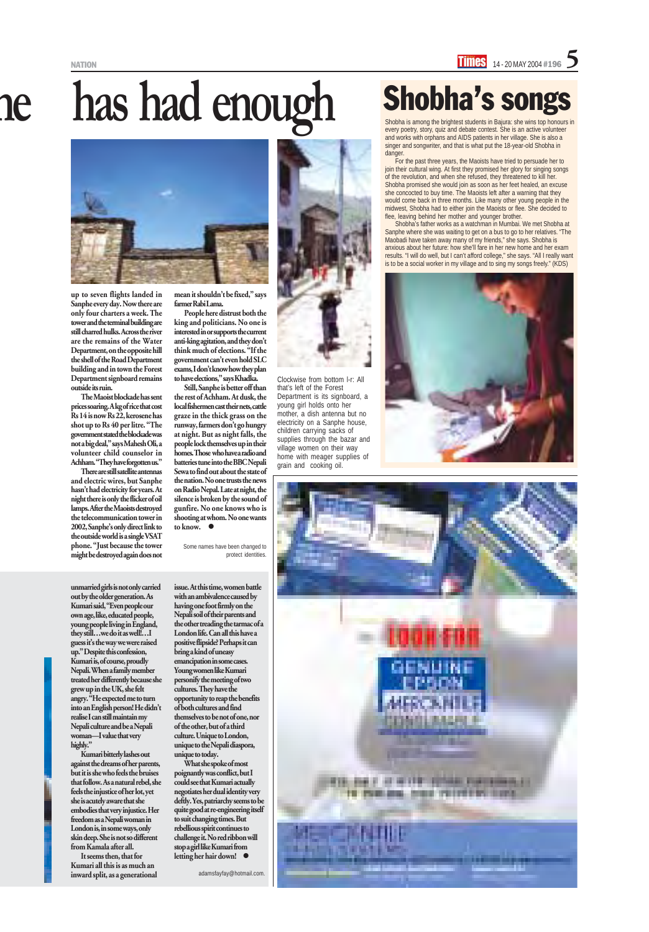## has had enough **Shobha's songs**



every poetry, story, quiz and debate contest. She is an active volunteer and works with orphans and AIDS patients in her village. She is also a singer and songwriter, and that is what put the 18-year-old Shobha in danger.

For the past three years, the Maoists have tried to persuade her to join their cultural wing. At first they promised her glory for singing songs of the revolution, and when she refused, they threatened to kill her. Shobha promised she would join as soon as her feet healed, an excuse she concocted to buy time. The Maoists left after a warning that they would come back in three months. Like many other young people in the midwest, Shobha had to either join the Maoists or flee. She decided to flee, leaving behind her mother and younger brother.

Shobha's father works as a watchman in Mumbai. We met Shobha at Sanphe where she was waiting to get on a bus to go to her relatives. "The Maobadi have taken away many of my friends," she says. Shobha is anxious about her future: how she'll fare in her new home and her exam results. "I will do well, but I can't afford college," she says. "All I really want is to be a social worker in my village and to sing my songs freely." (KDS)





Still, Sanphe is better off than the rest of Achham. At dusk, the local fishermen cast their nets, cattle graze in the thick grass on the runway, farmers don't go hungry at night. But as night falls, the people lock themselves up in their homes. Those who have a radio and batteries tune into the BBC Nepali Sewa to find out about the state of the nation. No one trusts the news on Radio Nepal. Late at night, the silence is broken by the sound of gunfire. No one knows who is shooting at whom. No one wants to know.  $\bullet$ 

up to seven flights landed in Sanphe every day. Now there are only four charters a week. The tower and the terminal building are still charred hulks. Across the river are the remains of the Water Department, on the opposite hill the shell of the Road Department building and in town the Forest Department signboard remains outside its ruin.

The Maoist blockade has sent prices soaring. A kg of rice that cost Rs 14 is now Rs 22, kerosene has shot up to Rs 40 per litre. "The government stated the blockade was not a big deal," says Mahesh Oli, a volunteer child counselor in Achham. "They have forgotten us."

guess it's the way we were raised up." Despite this confession, Kumari is, of course, proudly Nepali. When a family member treated her differently because she grew up in the UK, she felt angry. "He expected me to turn into an English person! He didn't realise I can still maintain my Nepali culture and be a Nepali woman—I value that very highly."

There are still satellite antennas and electric wires, but Sanphe hasn't had electricity for years. At night there is only the flicker of oil lamps. After the Maoists destroyed the telecommunication tower in 2002, Sanphe's only direct link to the outside world is a single VSAT phone. "Just because the tower might be destroyed again does not

> issue. At this time, women battle with an ambivalence caused by having one foot firmly on the Nepali soil of their parents and London life. Can all this have a positive flipside? Perhaps it can bring a kind of uneasy emancipation in some cases. Young women like Kumari personify the meeting of two cultures. They have the opportunity to reap the benefits of both cultures and find themselves to be not of one, nor of the other, but of a third culture. Unique to London, unique to the Nepali diaspora, unique to today. What she spoke of most poignantly was conflict, but I could see that Kumari actually negotiates her dual identity very to suit changing times. But rebellious spirit continues to challenge it. No red ribbon will stop a girl like Kumari from letting her hair down!  $\bullet$

mean it shouldn't be fixed," says farmer Rabi Lama.

People here distrust both the king and politicians. No one is interested in or supports the current anti-king agitation, and they don't think much of elections. "If the government can't even hold SLC exams, I don't know how they plan

to have elections," says Khadka.

Some names have been changed to protect identities.

### Shobha's songs

Clockwise from bottom l-r: All that's left of the Forest

Department is its signboard, a young girl holds onto her mother, a dish antenna but no electricity on a Sanphe house, children carrying sacks of supplies through the bazar and village women on their way home with meager supplies of

grain and cooking oil.

unmarried girls is not only carried out by the older generation. As Kumari said, "Even people our own age, like, educated people, young people living in England, they still…we do it as well!…I

Kumari bitterly lashes out against the dreams of her parents, but it is she who feels the bruises that follow. As a natural rebel, she feels the injustice of her lot, yet she is acutely aware that she embodies that very injustice. Her freedom as a Nepali woman in London is, in some ways, only skin deep. She is not so different from Kamala after all.

It seems then, that for Kumari all this is as much an inward split, as a generational the other treading the tarmac of a deftly. Yes, patriarchy seems to be quite good at re-engineering itself

adamsfayfay@hotmail.com.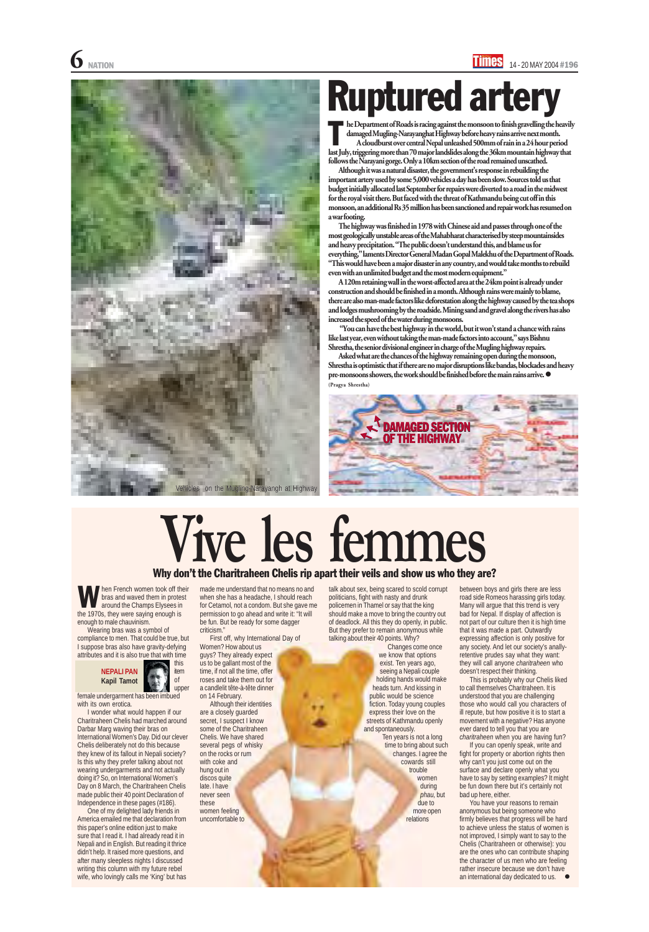he Department of Roads is racing against the monsoon to finish gravelling the heavily damaged Mugling-Narayanghat Highway before heavy rains arrive next month. A cloudburst over central Nepal unleashed 500mm of rain in a 24 hour period last July, triggering more than 70 major landslides along the 36km mountain highway landslides July, triggering more than 70 major landslides along the 36km mountain highway that follows the Narayani gorge. Only a 10km section of the road remained unscathed.

Although it was a natural disaster, the government's response in rebuilding the important artery used by some 5,000 vehicles a day has been slow. Sources told us that budget initially allocated last September for repairs were diverted to a road in the midwest for the royal visit there. But faced with the threat of Kathmandu being cut off in this monsoon, an additional Rs 35 million has been sanctioned and repair work has resumed on a war footing.

The highway was finished in 1978 with Chinese aid and passes through one of the most geologically unstable areas of the Mahabharat characterised by steep mountainsides and heavy precipitation. "The public doesn't understand this, and blame us for everything," laments Director General Madan Gopal Malekhu of the Department of Roads. "This would have been a major disaster in any country, and would take months to rebuild even with an unlimited budget and the most modern equipment."

A 120m retaining wall in the worst-affected area at the 24km point is already under construction and should be finished in a month. Although rains were mainly to blame, there are also man-made factors like deforestation along the highway caused by the tea shops and lodges mushrooming by the roadside. Mining sand and gravel along the rivers has also increased the speed of the water during monsoons.

 "You can have the best highway in the world, but it won't stand a chance with rains like last year, even without taking the man-made factors into account," says Bishnu Shrestha, the senior divisional engineer in charge of the Mugling highway repairs.

Asked what are the chances of the highway remaining open during the monsoon, Shrestha is optimistic that if there are no major disruptions like bandas, blockades and heavy pre-monsoons showers, the work should be finished before the main rains arrive.  $\bullet$ (Pragya Shrestha)

> You have your reasons to remain anonymous but being someone who firmly believes that progress will be hard to achieve unless the status of women is not improved, I simply want to say to the Chelis (Charitraheen or otherwise): you are the ones who can contribute shaping the character of us men who are feeling rather insecure because we don't have an international day dedicated to us.  $\bullet$

### Ruptured artery

hen French women took off their bras and waved them in protest around the Champs Elysees in **the 1970s**, they were saying enough is<br>the 1970s, they were saying enough is enough to male chauvinism.

Wearing bras was a symbol of compliance to men. That could be true, but

I suppose bras also have gravity-defying attributes and it is also true that with time

female undergarment has been imbued with its own erotica.

I wonder what would happen if our Charitraheen Chelis had marched around Darbar Marg waving their bras on International Women's Day. Did our clever Chelis deliberately not do this because they knew of its fallout in Nepali society? Is this why they prefer talking about not wearing undergarments and not actually doing it? So, on International Women's Day on 8 March, the Charitraheen Chelis made public their 40 point Declaration of Independence in these pages (#186).

One of my delighted lady friends in America emailed me that declaration from this paper's online edition just to make sure that I read it. I had already read it in Nepali and in English. But reading it thrice didn't help. It raised more questions, and after many sleepless nights I discussed writing this column with my future rebel wife, who lovingly calls me 'King' but has

### **Vive les femmes** Why don't the Charitraheen Chelis rip apart their veils and show us who they are?

between boys and girls there are less road side Romeos harassing girls today. Many will argue that this trend is very bad for Nepal. If display of affection is not part of our culture then it is high time that it was made a part. Outwardly expressing affection is only positive for

any society. And let our society's anallyretentive prudes say what they want: they will call anyone *charitraheen* who doesn't respect their thinking.

This is probably why our Chelis liked to call themselves Charitraheen. It is understood that you are challenging those who would call you characters of ill repute, but how positive it is to start a movement with a negative? Has anyone ever dared to tell you that you are *charitraheen* when you are having fun?

If you can openly speak, write and fight for property or abortion rights then why can't you just come out on the surface and declare openly what you have to say by setting examples? It might be fun down there but it's certainly not bad up here, either.



made me understand that no means no and when she has a headache, I should reach for Cetamol, not a condom. But she gave me permission to go ahead and write it: "It will be fun. But be ready for some dagger criticism."

First off, why International Day of

Women? How about us guys? They already expect us to be gallant most of the time, if not all the time, offer roses and take them out for a candlelit tête-à-tête dinner on 14 February.

Although their identities are a closely guarded secret, I suspect I know some of the Charitraheen Chelis. We have shared several pegs of whisky on the rocks or rum with coke and hung out in discos quite late. I have never seen these women feeling uncomfortable to

talk about sex, being scared to scold corrupt politicians, fight with nasty and drunk policemen in Thamel or say that the king should make a move to bring the country out of deadlock. All this they do openly, in public. But they prefer to remain anonymous while talking about their 40 points. Why?

> Changes come once we know that options exist. Ten years ago, seeing a Nepali couple holding hands would make heads turn. And kissing in public would be science fiction. Today young couples express their love on the streets of Kathmandu openly and spontaneously.

> > Ten years is not a long time to bring about such changes. I agree the cowards still trouble women during *phau,* but due to more open relations



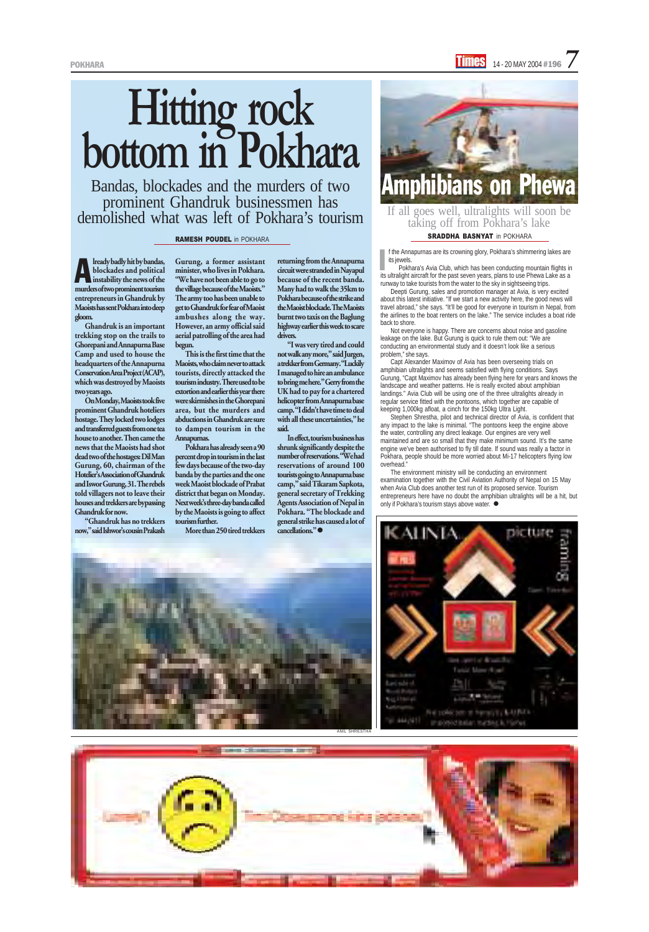lready badly hit by bandas, blockades and political Iready badly hit by bandas,<br>blockades and political<br>instability the news of the murders of two prominent tourism entrepreneurs in Ghandruk by Maoists has sent Pokhara into deep gloom.

Ghandruk is an important trekking stop on the trails to Ghorepani and Annapurna Base Camp and used to house the headquarters of the Annapurna Conservation Area Project (ACAP), which was destroyed by Maoists two years ago.

On Monday, Maoists took five prominent Ghandruk hoteliers hostage. They locked two lodges and transferred guests from one tea house to another. Then came the news that the Maoists had shot dead two of the hostages: Dil Man Gurung, 60, chairman of the Hotelier's Association of Ghandruk and Iswor Gurung, 31. The rebels told villagers not to leave their houses and trekkers are bypassing Ghandruk for now.

"Ghandruk has no trekkers now," said Ishwor's cousin Prakash

Bandas, blockades and the murders of two prominent Ghandruk businessmen has demolished what was left of Pokhara's tourism

## **Hitting rock bottom in Pokhara**

#### RAMESH POUDEL in POKHARA

Gurung, a former assistant minister, who lives in Pokhara. "We have not been able to go to the village because of the Maoists." The army too has been unable to get to Ghandruk for fear of Maoist ambushes along the way. However, an army official said aerial patrolling of the area had begun.

> In effect, tourism business has shrunk significantly despite the number of reservations. "We had reservations of around 100 tourists going to Annapurna base camp," said Tikaram Sapkota, general secretary of Trekking Agents Association of Nepal in Pokhara. "The blockade and general strike has caused a lot of cancellations."

f the Annapurnas are its crowning glory, Pokhara's shimmering lakes are its jewels. I<br>I

This is the first time that the Maoists, who claim never to attack tourists, directly attacked the tourism industry. There used to be extortion and earlier this year there were skirmishes in the Ghorepani area, but the murders and abductions in Ghandruk are sure to dampen tourism in the Annapurnas.

Pokhara has already seen a 90 percent drop in tourism in the last few days because of the two-day banda by the parties and the one week Maoist blockade of Prabat district that began on Monday. Next week's three-day banda called by the Maoists is going to affect tourism further.

More than 250 tired trekkers

Stephen Shrestha, pilot and technical director of Avia, is confident that any impact to the lake is minimal. "The pontoons keep the engine above the water, controlling any direct leakage. Our engines are very well maintained and are so small that they make minimum sound. It's the same engine we've been authorised to fly till date. If sound was really a factor in Pokhara, people should be more worried about Mi-17 helicopters flying low overhead."

returning from the Annapurna circuit were stranded in Nayapul because of the recent banda. Many had to walk the 35km to Pokhara because of the strike and the Maoist blockade. The Maoists burnt two taxis on the Baglung highway earlier this week to scare drivers.

> The environment ministry will be conducting an environment examination together with the Civil Aviation Authority of Nepal on 15 May when Avia Club does another test run of its proposed service. Tourism entrepreneurs here have no doubt the amphibian ultralights will be a hit, but only if Pokhara's tourism stavs above water.  $\bullet$





"I was very tired and could not walk any more," said Jurgen, a trekker from Germany. "Luckily I managed to hire an ambulance to bring me here." Gerry from the UK had to pay for a chartered helicopter from Annapurna base camp. "I didn't have time to deal with all these uncertainties," he said.

Pokhara's Avia Club, which has been conducting mountain flights in its ultralight aircraft for the past seven years, plans to use Phewa Lake as a runway to take tourists from the water to the sky in sightseeing trips.

Deepti Gurung, sales and promotion manager at Avia, is very excited about this latest initiative. "If we start a new activity here, the good news will travel abroad," she says. "It'll be good for everyone in tourism in Nepal, from the airlines to the boat renters on the lake." The service includes a boat ride back to shore.

Not everyone is happy. There are concerns about noise and gasoline leakage on the lake. But Gurung is quick to rule them out: "We are conducting an environmental study and it doesn't look like a serious problem," she says.

Capt Alexander Maximov of Avia has been overseeing trials on amphibian ultralights and seems satisfied with flying conditions. Says Gurung, "Capt Maximov has already been flying here for years and knows the landscape and weather patterns. He is really excited about amphibian landings." Avia Club will be using one of the three ultralights already in regular service fitted with the pontoons, which together are capable of keeping 1,000kg afloat, a cinch for the 150kg Ultra Light.



SRADDHA BASNYAT in POKHARA If all goes well, ultralights will soon be taking off from Pokhara's lake

ANIL SHRESTHA

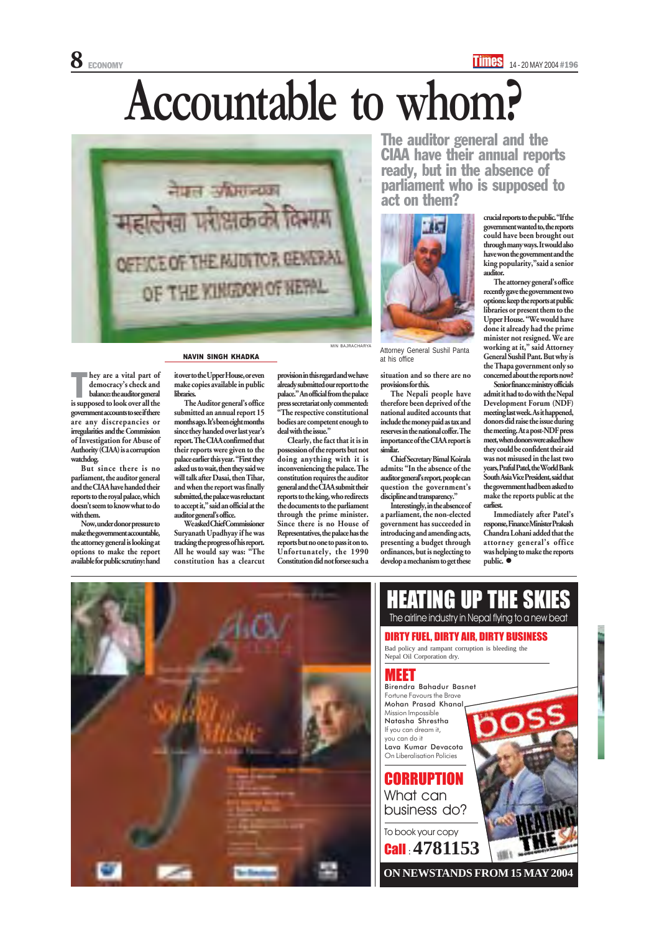# **Accountable to whom?**

hey are a vital part of democracy's check and balance: the auditor general hey are a vital part of<br>democracy's check and<br>balance: the auditor general<br>is supposed to look over all the government accounts to see if there are any discrepancies or irregularities and the Commission of Investigation for Abuse of Authority (CIAA) is a corruption watchdog.

But since there is no parliament, the auditor general and the CIAA have handed their reports to the royal palace, which doesn't seem to know what to do with them.

Chief Secretary Bimal Koirala admits: "In the absence of the auditor general's report, people can question the government's discipline and transparency."

Now, under donor pressure to make the government accountable, the attorney general is looking at options to make the report available for public scrutiny: hand

situation and so there are no provisions for this.

**CORRUPTION** What can business do?

The Nepali people have therefore been deprived of the national audited accounts that include the money paid as tax and reserves in the national coffer. The importance of the CIAA report is similar.

Interestingly, in the absence of a parliament, the non-elected government has succeeded in introducing and amending acts, presenting a budget through ordinances, but is neglecting to develop a mechanism to get these

The auditor general and the CIAA have their annual reports ready, but in the absence of parliament who is supposed to act on them?

> Immediately after Patel's response, Finance Minister Prakash Chandra Lohani added that the attorney general's office was helping to make the reports public.  $\bullet$



#### MEET

HEATING UP THE SKIES The airline industry in Nepal flying to a new beat DIRTY FUEL, DIRTY AIR, DIRTY BUSINESS

To book your copy Call : **4781153**



Bad policy and rampant corruption is bleeding the Nepal Oil Corporation dry.

Birendra Bahadur Basnet Fortune Favours the Brave Mohan Prasad Khanal Mission Impossible Natasha Shrestha If you can dream it, you can do it Lava Kumar Devacota On Liberalisation Policies

provision in this regard and we have already submitted our report to the palace." An official from the palace press secretariat only commented: "The respective constitutional bodies are competent enough to deal with the issue."

**ON NEWSTANDS FROM 15 MAY 2004**

crucial reports to the public. "If the government wanted to, the reports could have been brought out through many ways. It would also have won the government and the king popularity,"said a senior auditor.



**NAVIN SINGH KHADKA Attorney General Sushil Panta Attorney General Sushil Panta** at his office

The attorney general's office recently gave the government two options: keep the reports at public libraries or present them to the Upper House. "We would have done it already had the prime minister not resigned. We are working at it," said Attorney General Sushil Pant. But why is the Thapa government only so concerned about the reports now?

Senior finance ministry officials admit it had to do with the Nepal Development Forum (NDF) meeting last week. As it happened, donors did raise the issue during the meeting. At a post-NDF press meet, when donors were asked how they could be confident their aid was not misused in the last two years, Praful Patel, the World Bank South Asia Vice President, said that the government had been asked to make the reports public at the earliest.

it over to the Upper House, or even make copies available in public libraries.

The Auditor general's office submitted an annual report 15 months ago. It's been eight months since they handed over last year's report. The CIAA confirmed that their reports were given to the palace earlier this year. "First they asked us to wait, then they said we will talk after Dasai, then Tihar, and when the report was finally submitted, the palace was reluctant to accept it," said an official at the auditor general's office.

We asked Chief Commissioner Suryanath Upadhyay if he was tracking the progress of his report. All he would say was: "The constitution has a clearcut

Clearly, the fact that it is in possession of the reports but not doing anything with it is inconveniencing the palace. The constitution requires the auditor general and the CIAA submit their reports to the king, who redirects the documents to the parliament through the prime minister. Since there is no House of Representatives, the palace has the reports but no one to pass it on to. Unfortunately, the 1990 Constitution did not forsee such a

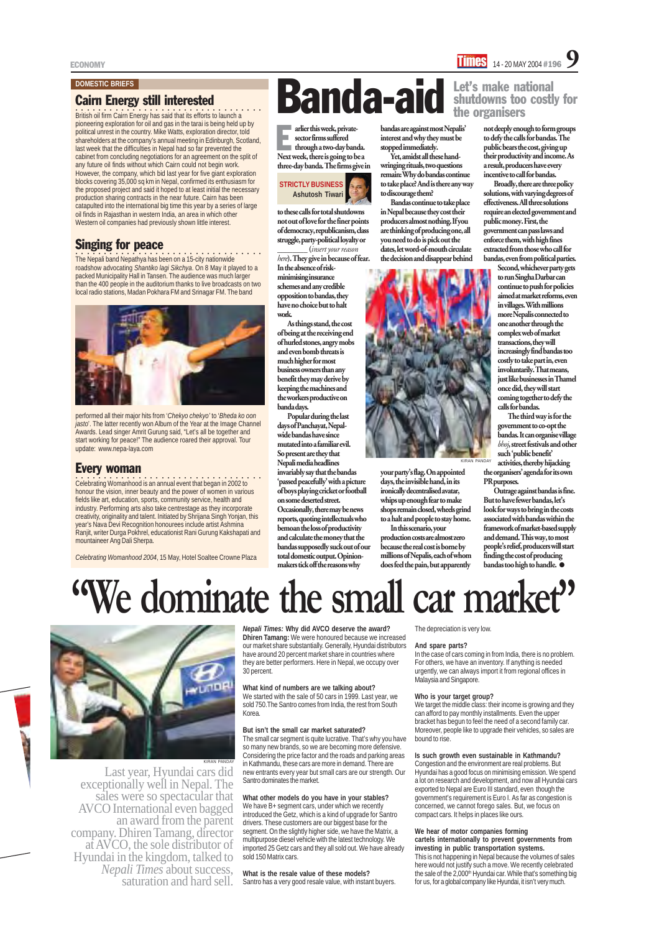*Nepali Times:* **Why did AVCO deserve the award? Dhiren Tamang:** We were honoured because we increased

our market share substantially. Generally, Hyundai distributors have around 20 percent market share in countries where they are better performers. Here in Nepal, we occupy over 30 percent.

#### **What kind of numbers are we talking about?**

We started with the sale of 50 cars in 1999. Last year, we sold 750.The Santro comes from India, the rest from South Korea.

#### **But isn't the small car market saturated?**

We have B+ segment cars, under which we recently introduced the Getz, which is a kind of upgrade for Santro drivers. These customers are our biggest base for the segment. On the slightly higher side, we have the Matrix, a multipurpose diesel vehicle with the latest technology. We imported 25 Getz cars and they all sold out. We have already sold 150 Matrix cars.

The small car segment is quite lucrative. That's why you have so many new brands, so we are becoming more defensive. Considering the price factor and the roads and parking areas in Kathmandu, these cars are more in demand. There are new entrants every year but small cars are our strength. Our Santro dominates the market.

#### **What other models do you have in your stables?**

#### **What is the resale value of these models?**

Santro has a very good resale value, with instant buyers.

The depreciation is very low.

#### **And spare parts?**

arlier this week, private-<br>sector firms suffered<br>through a two-day banda.<br>Next week, there is going to be a **arlier this week, private**sector firms suffered through a two-day banda. three-day banda. The firms give in

> In the case of cars coming in from India, there is no problem. For others, we have an inventory. If anything is needed urgently, we can always import it from regional offices in Malaysia and Singapore.

#### **Who is your target group?**

We target the middle class: their income is growing and they can afford to pay monthly installments. Even the upper bracket has begun to feel the need of a second family car. Moreover, people like to upgrade their vehicles, so sales are bound to rise.

#### **Is such growth even sustainable in Kathmandu?**

Congestion and the environment are real problems. But Hyundai has a good focus on minimising emission. We spend a lot on research and development, and now all Hyundai cars exported to Nepal are Euro III standard, even though the government's requirement is Euro I. As far as congestion is concerned, we cannot forego sales. But, we focus on compact cars. It helps in places like ours.

#### **We hear of motor companies forming**

#### **cartels internationally to prevent governments from investing in public transportation systems.**

This is not happening in Nepal because the volumes of sales here would not justify such a move. We recently celebrated the sale of the 2,000<sup>th</sup> Hyundai car. While that's something big for us, for a global company like Hyundai, it isn't very much.

### **"We dominate the small car market"**

to these calls for total shutdowns not out of love for the finer points of democracy, republicanism, class struggle, party-political loyalty or

> Outrage against bandas is fine. But to have fewer bandas, let's look for ways to bring in the costs associated with bandas within the framework of market-based supply and demand. This way, to most people's relief, producers will start finding the cost of producing bandas too high to handle.  $\bullet$

\_\_\_\_\_\_\_\_ (*insert your reason here*). They give in because of fear. In the absence of riskminimising insurance schemes and any credible opposition to bandas, they have no choice but to halt work.

Last year, Hyundai cars did<br>exceptionally well in Nepal. The<br>sales were so spectacular that<br>AVCO International even bagged<br>an award from the parent<br>company. Dhiren Tamang, director<br>at AVCO, the sole distributor of Hyundai in the kingdom, talked to *Nepali Times* about success, saturation and hard sell.

As things stand, the cost of being at the receiving end of hurled stones, angry mobs and even bomb threats is much higher for most business owners than any benefit they may derive by keeping the machines and the workers productive on banda days.

Popular during the last days of Panchayat, Nepalwide bandas have since mutated into a familiar evil. So present are they that Nepali media headlines invariably say that the bandas 'passed peacefully' with a picture of boys playing cricket or football on some deserted street. Occasionally, there may be news reports, quoting intellectuals who bemoan the loss of productivity and calculate the money that the bandas supposedly suck out of our total domestic output. Opinionmakers tick off the reasons why

**COO**<br>The Nepali band Nepathya has been on a 15-city nationwide roadshow advocating *Shantiko lagi Sikchya*. On 8 May it played to a packed Municipality Hall in Tansen. The audience was much larger than the 400 people in the auditorium thanks to live broadcasts on two local radio stations, Madan Pokhara FM and Srinagar FM. The band



bandas are against most Nepalis' interest and why they must be stopped immediately.

Yet, amidst all these handwringing rituals, two questions remain: Why do bandas continue to take place? And is there any way to discourage them?

Bandas continue to take place in Nepal because they cost their producers almost nothing. If you are thinking of producing one, all you need to do is pick out the dates, let word-of-mouth circulate the decision and disappear behind



Celebrating Womanhood is an annual event that began in 2002 to honour the vision, inner beauty and the power of women in various fields like art, education, sports, community service, health and industry. Performing arts also take centrestage as they incorporate creativity, originality and talent. Initiated by Shrijana Singh Yonjan, this year's Nava Devi Recognition honourees include artist Ashmina Ranjit, writer Durga Pokhrel, educationist Rani Gurung Kakshapati and mountaineer Ang Dali Sherpa.

your party's flag. On appointed days, the invisible hand, in its ironically decentralised avatar, whips up enough fear to make shops remain closed, wheels grind to a halt and people to stay home. In this scenario, your production costs are almost zero because the real cost is borne by millions of Nepalis, each of whom does feel the pain, but apparently

ECONOMY  $\frac{14 - 20 \text{ MAY } 2004 \text{ #196}}{14 - 20 \text{ MAY } 2004 \text{ #196}}$ 

not deeply enough to form groups to defy the calls for bandas. The public bears the cost, giving up their productivity and income. As a result, producers have every incentive to call for bandas.

Broadly, there are three policy solutions, with varying degrees of effectiveness. All three solutions require an elected government and public money. First, the government can pass laws and enforce them, with high fines extracted from those who call for bandas, even from political parties.

Second, whichever party gets to run Singha Darbar can continue to push for policies aimed at market reforms, even in villages. With millions more Nepalis connected to one another through the complex web of market transactions, they will increasingly find bandas too costly to take part in, even involuntarily. That means, just like businesses in Thamel once did, they will start coming together to defy the calls for bandas.

The third way is for the government to co-opt the bandas. It can organise village *bhoj*, street festivals and other such 'public benefit'

#### shutdowns too costly for the organisers

#### Cairn Energy still interested

○○○○○○○○○○○○○○ ○○○○○○○○○○○○○○○○○○○ British oil firm Cairn Energy has said that its efforts to launch a pioneering exploration for oil and gas in the tarai is being held up by political unrest in the country. Mike Watts, exploration director, told shareholders at the company's annual meeting in Edinburgh, Scotland, last week that the difficulties in Nepal had so far prevented the cabinet from concluding negotiations for an agreement on the split of any future oil finds without which Cairn could not begin work. However, the company, which bid last year for five giant exploration blocks covering 35,000 sq km in Nepal, confirmed its enthusiasm for the proposed project and said it hoped to at least initial the necessary production sharing contracts in the near future. Cairn has been catapulted into the international big time this year by a series of large oil finds in Rajasthan in western India, an area in which other Western oil companies had previously shown little interest.

> activities, thereby hijacking the organisers' agenda for its own PR purposes. KIRAN PANDAY

#### Singing for peace

performed all their major hits from '*Chekyo chekyo'* to '*Bheda ko oon jasto*'. The latter recently won Album of the Year at the Image Channel Awards. Lead singer Amrit Gurung said, "Let's all be together and start working for peace!" The audience roared their approval. Tour update: www.nepa-laya.com

#### Every woman

*Celebrating Womanhood 2004*, 15 May, Hotel Soaltee Crowne Plaza

### **Banda-aid** shutdowns too costl

#### **DOMESTIC BRIEFS**

#### **STRICTLY BUSINESS Ashutosh Tiwari**

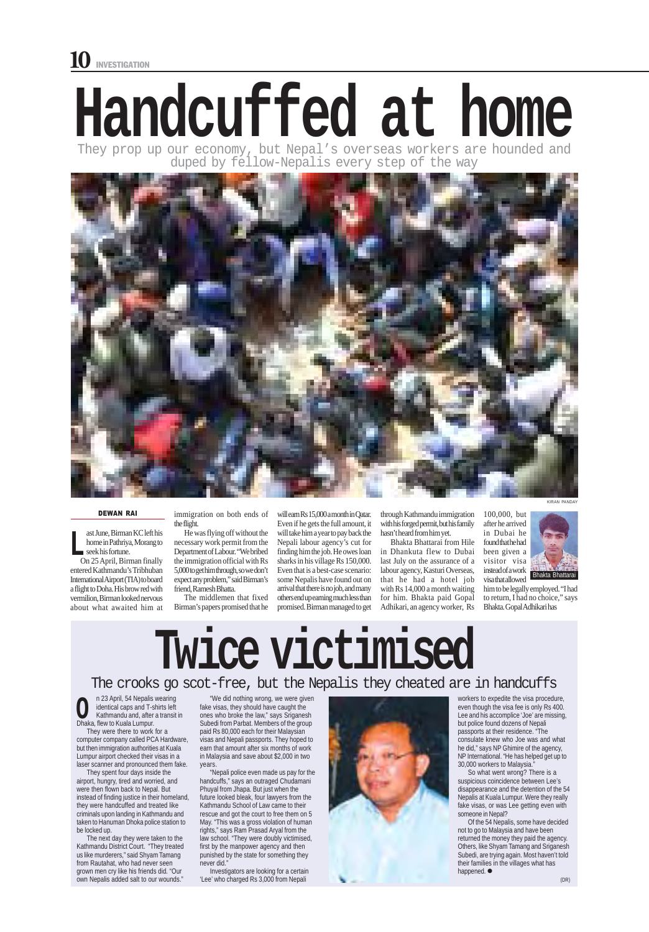n 23 April, 54 Nepalis wearing identical caps and T-shirts left Kathmandu and, after a transit in **CO** identical caps and T-s<br>
Kathmandu and, after<br>
Dhaka, flew to Kuala Lumpur.

On 25 April, Birman finally entered Kathmandu's Tribhuban International Airport (TIA) to board a flight to Doha. His brow red with vermilion, Birman looked nervous about what awaited him at

They were there to work for a computer company called PCA Hardware, but then immigration authorities at Kuala Lumpur airport checked their visas in a laser scanner and pronounced them fake.

They spent four days inside the airport, hungry, tired and worried, and were then flown back to Nepal. But instead of finding justice in their homeland, they were handcuffed and treated like criminals upon landing in Kathmandu and taken to Hanuman Dhoka police station to be locked up.

The next day they were taken to the Kathmandu District Court. "They treated us like murderers," said Shyam Tamang from Rautahat, who had never seen grown men cry like his friends did. "Our own Nepalis added salt to our wounds."

through Kathmandu immigration with his forged permit, but his family hasn't heard from him yet.

Bhakta Bhattarai from Hile in Dhankuta flew to Dubai last July on the assurance of a labour agency, Kasturi Overseas, that he had a hotel job with Rs 14,000 a month waiting for him. Bhakta paid Gopal Adhikari, an agency worker, Rs

П

#### The crooks go scot-free, but the Nepalis they cheated are in handcuffs

Of the 54 Nepalis, some have decided not to go to Malaysia and have been returned the money they paid the agency. Others, like Shyam Tamang and Sriganesh Subedi, are trying again. Most haven't told their families in the villages what has happened.  $\bullet$ 

"We did nothing wrong, we were given fake visas, they should have caught the ones who broke the law," says Sriganesh Subedi from Parbat. Members of the group paid Rs 80,000 each for their Malaysian visas and Nepali passports. They hoped to earn that amount after six months of work in Malaysia and save about \$2,000 in two years.

"Nepali police even made us pay for the handcuffs," says an outraged Chudamani Phuyal from Jhapa. But just when the future looked bleak, four lawyers from the Kathmandu School of Law came to their rescue and got the court to free them on 5 May. "This was a gross violation of human rights," says Ram Prasad Aryal from the law school. "They were doubly victimised, first by the manpower agency and then punished by the state for something they never did."

ast June, Birman KC left his home in Pathriya, Morang to seek his fortune. **L**

> Investigators are looking for a certain 'Lee' who charged Rs 3,000 from Nepali



100,000, but after he arrived in Dubai he found that he had been given a visitor visa instead of a work visa that allowed

him to be legally employed. "I had to return, I had no choice," says Bhakta. Gopal Adhikari has

### **Twice victimise**

workers to expedite the visa procedure, even though the visa fee is only Rs 400. Lee and his accomplice 'Joe' are missing, but police found dozens of Nepali passports at their residence. "The consulate knew who Joe was and what he did," says NP Ghimire of the agency, NP International. "He has helped get up to 30,000 workers to Malaysia."

So what went wrong? There is a suspicious coincidence between Lee's disappearance and the detention of the 54 Nepalis at Kuala Lumpur. Were they really fake visas, or was Lee getting even with someone in Nepal?



KIRAN PANDAY

# **Handcuffed at home**

They prop up our economy, but Nepal's overseas workers are hounded and duped by fellow-Nepalis every step of the way



immigration on both ends of the flight.

He was flying off without the necessary work permit from the Department of Labour. "We bribed the immigration official with Rs 5,000 to get him through, so we don't expect any problem," said Birman's friend, Ramesh Bhatta.

The middlemen that fixed Birman's papers promised that he will earn Rs 15,000 a month in Qatar. Even if he gets the full amount, it will take him a year to pay back the Nepali labour agency's cut for finding him the job. He owes loan sharks in his village Rs 150,000. Even that is a best-case scenario: some Nepalis have found out on arrival that there is no job, and many others end up earning much less than promised. Birman managed to get

#### DEWAN RAI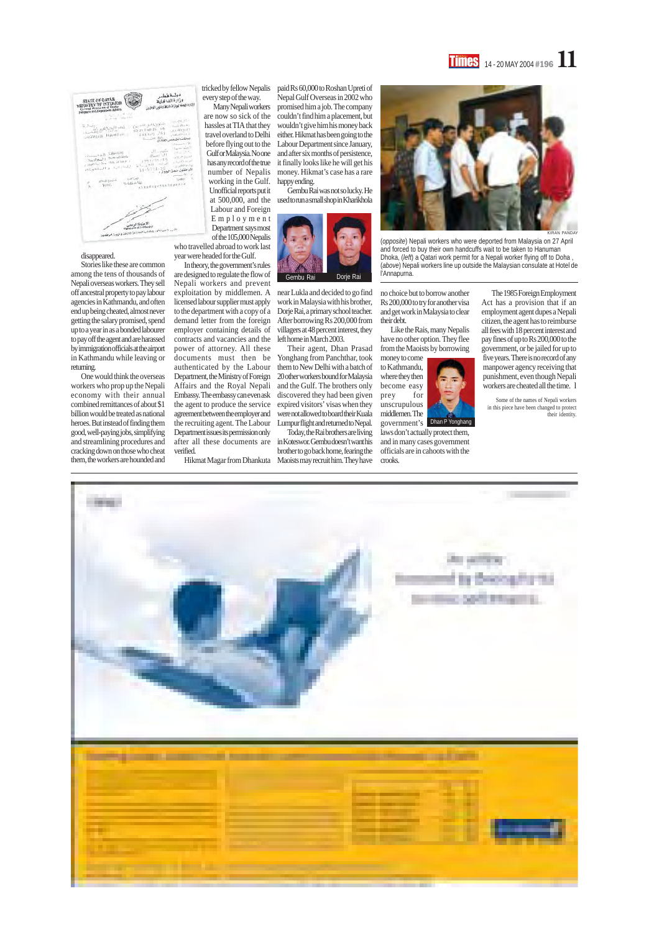#### **Times** 14 - 20 MAY 2004 #196 11



#### disappeared.

Stories like these are common among the tens of thousands of Nepali overseas workers. They sell off ancestral property to pay labour agencies in Kathmandu, and often end up being cheated, almost never getting the salary promised, spend up to a year in as a bonded labourer to pay off the agent and are harassed by immigration officials at the airport in Kathmandu while leaving or returning.

Gembu Rai was not so lucky. He at 500,000, and the used to run a small shop in Kharikhola

One would think the overseas workers who prop up the Nepali economy with their annual combined remittances of about \$1 billion would be treated as national heroes. But instead of finding them good, well-paying jobs, simplifying and streamlining procedures and cracking down on those who cheat them, the workers are hounded and

Today, the Rai brothers are living after all these documents are in Koteswor. Gembu doesn't want his brother to go back home, fearing the Hikmat Magar from Dhankuta Maoists may recruit him. They have

paid Rs 60,000 to Roshan Upreti of Nepal Gulf Overseas in 2002 who promised him a job. The company couldn't find him a placement, but wouldn't give him his money back either. Hikmat has been going to the Labour Department since January, and after six months of persistence, it finally looks like he will get his money. Hikmat's case has a rare happy ending.

work in Malaysia with his brother, Dorje Rai, a primary school teacher. After borrowing Rs 200,000 from villagers at 48 percent interest, they left home in March 2003.

Their agent, Dhan Prasad Yonghang from Panchthar, took them to New Delhi with a batch of 20 other workers bound for Malaysia and the Gulf. The brothers only discovered they had been given the agent to produce the service expired visitors' visas when they were not allowed to board their Kuala Lumpur flight and returned to Nepal.

no choice but to borrow another Rs 200,000 to try for another visa and get work in Malaysia to clear their debt.

Like the Rais, many Nepalis have no other option. They flee from the Maoists by borrowing

exploitation by middlemen. A near Lukla and decided to go find In theory, the government's rules are designed to regulate the flow of Nepali workers and prevent licensed labour supplier must apply to the department with a copy of a demand letter from the foreign employer containing details of contracts and vacancies and the power of attorney. All these documents must then be authenticated by the Labour Department, the Ministry of Foreign Affairs and the Royal Nepali Embassy. The embassy can even ask agreement between the employer and the recruiting agent. The Labour Department issues its permission only verified.

laws don't actually protect them, and in many cases government officials are in cahoots with the crooks.

The 1985 Foreign Employment Act has a provision that if an employment agent dupes a Nepali citizen, the agent has to reimburse all fees with 18 percent interest and pay fines of up to Rs 200,000 to the government, or be jailed for up to five years. There is no record of any manpower agency receiving that punishment, even though Nepali workers are cheated all the time. l

money to come to Kathmandu, where they then become easy prey for unscrupulous middlemen. The government's Dhan P Yonghang

Some of the names of Nepali workers in this piece have been changed to protect their identity.







(*opposite*) Nepali workers who were deported from Malaysia on 27 April and forced to buy their own handcuffs wait to be taken to Hanuman Dhoka, (*left*) a Qatari work permit for a Nepali worker flying off to Doha , (*above*) Nepali workers line up outside the Malaysian consulate at Hotel de

tricked by fellow Nepalis every step of the way.

Many Nepali workers are now so sick of the hassles at TIA that they travel overland to Delhi before flying out to the Gulf or Malaysia. No one has any record of the true number of Nepalis working in the Gulf. Unofficial reports put it Labour and Foreign

Employment Department says most of the 105,000 Nepalis who travelled abroad to work last year were headed for the Gulf.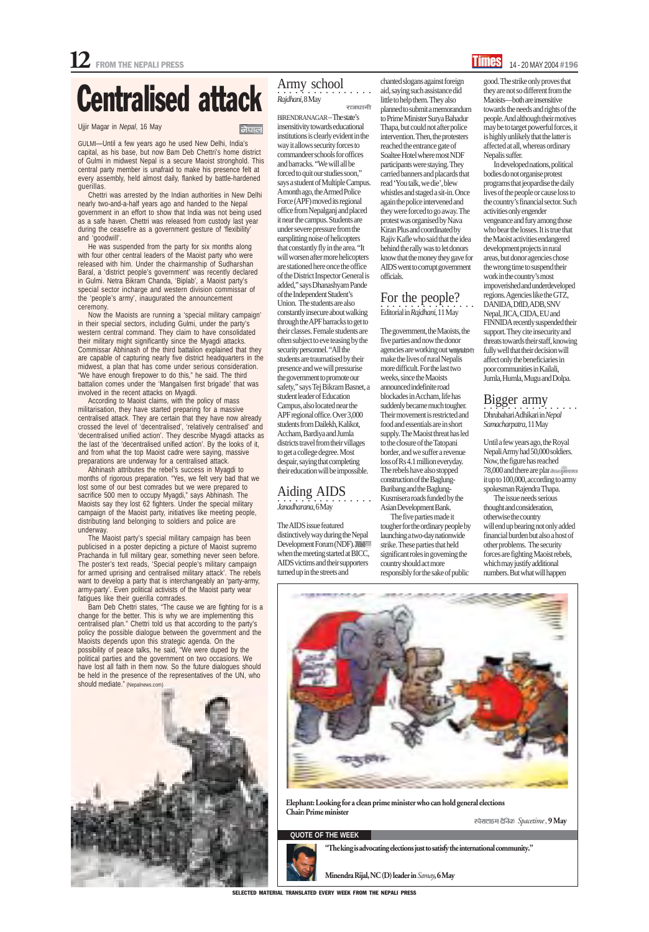SELECTED MATERIAL TRANSLATED EVERY WEEK FROM THE NEPALI PRESS

#### **QUOTE OF THE WEEK**



"The king is advocating elections just to satisfy the international community."

#### Army school ○○○○○○○○○○○○○○○○ *Rajdhani*, 8 May राजधानी

Minendra Rijal, NC (D) leader in *Samay*, 6 May

*Spacetime ,* 9 May

Elephant: Looking for a clean prime minister who can hold general elections Chair: Prime minister

BIRENDRANAGAR – The state's insensitivity towards educational institutions is clearly evident in the way it allows security forces to commandeer schools for offices and barracks. "We will all be forced to quit our studies soon," says a student of Multiple Campus. A month ago, the Armed Police Force (APF) moved its regional office from Nepalganj and placed it near the campus. Students are under severe pressure from the earsplitting noise of helicopters that constantly fly in the area. "It will worsen after more helicopters are stationed here once the office of the District Inspector General is added," says Dhanashyam Pande of the Independent Student's Union. The students are also constantly insecure about walking through the APF barracks to get to their classes. Female students are often subject to eve teasing by the security personnel. "All the students are traumatised by their presence and we will pressurise the government to promote our safety," says Tej Bikram Basnet, a student leader of Education Campus, also located near the APF regional office. Over 3,000 students from Dailekh, Kalikot, Accham, Bardiya and Jumla districts travel from their villages to get a college degree. Most despair, saying that completing their education will be impossible.

#### Aiding AIDS ○○○○○○○○○○○○○○○○

*Janadharana*, 6 May

The AIDS issue featured distinctively way during the Nepal Development Forum (NDF). when the meeting started at BICC, AIDS victims and their supporters turned up in the streets and

chanted slogans against foreign aid, saying such assistance did little to help them. They also planned to submit a memorandum to Prime Minister Surya Bahadur Thapa, but could not after police intervention. Then, the protesters reached the entrance gate of Soaltee Hotel where most NDF participants were staying. They carried banners and placards that read 'You talk, we die', blew whistles and staged a sit-in. Once again the police intervened and they were forced to go away. The protest was organised by Nava Kiran Plus and coordinated by Rajiv Kafle who said that the idea behind the rally was to let donors know that the money they gave for AIDS went to corrupt government officials.

#### ○○○○○○○○○○○○○○○○ For the people? Editorial in *Rajdhani,* 11 May

The government, the Maoists, the five parties and now the donor agencies are working out ways to T make the lives of rural Nepalis more difficult. For the last two weeks, since the Maoists announced indefinite road blockades in Accham, life has suddenly became much tougher. Their movement is restricted and food and essentials are in short supply. The Maoist threat has led to the closure of the Tatopani border, and we suffer a revenue loss of Rs 4.1 million everyday. The rebels have also stopped construction of the Baglung-Buribang and the Baglung-Kusmisera roads funded by the Asian Development Bank.

The five parties made it tougher for the ordinary people by launching a two-day nationwide strike. These parties that held significant roles in governing the country should act more responsibly for the sake of public

good. The strike only proves that they are not so different from the Maoists—both are insensitive towards the needs and rights of the people. And although their motives may be to target powerful forces, it is highly unlikely that the latter is affected at all, whereas ordinary Nepalis suffer.

In developed nations, political bodies do not organise protest programs that jeopardise the daily lives of the people or cause loss to the country's financial sector. Such activities only engender vengeance and fury among those who bear the losses. It is true that the Maoist activities endangered development projects in rural areas, but donor agencies chose the wrong time to suspend their work in the country's most impoverished and underdeveloped regions. Agencies like the GTZ, DANIDA, DfID, ADB, SNV Nepal, JICA, CIDA, EU and FINNIDA recently suspended their support. They cite insecurity and threats towards their staff, knowing fully well that their decision will affect only the beneficiaries in poor communities in Kailali, Jumla, Humla, Mugu and Dolpa.

#### Bigger army

○○○○○○○○○○○○○○○○ Dhrubahari Adhikari in *Nepal Samacharpatra*, 11 May

Until a few years ago, the Royal Nepali Army had 50,000 soldiers. Now, the figure has reached 78,000 and there are plan जेपाल समाचारपत्र it up to 100,000, according to army spokesman Rajendra Thapa.

The issue needs serious thought and consideration, otherwise the country will end up bearing not only added financial burden but also a host of other problems. The security forces are fighting Maoist rebels, which may justify additional numbers. But what will happen





### Centralised attack

Ujjir Magar in *Nepal*, 16 May

#### नेपाल

GULMI*—*Until a few years ago he used New Delhi, India's capital, as his base, but now Bam Deb Chettri's home district of Gulmi in midwest Nepal is a secure Maoist stronghold. This central party member is unafraid to make his presence felt at every assembly, held almost daily, flanked by battle-hardened guerillas.

Chettri was arrested by the Indian authorities in New Delhi nearly two-and-a-half years ago and handed to the Nepal government in an effort to show that India was not being used as a safe haven. Chettri was released from custody last year during the ceasefire as a government gesture of 'flexibility' and 'goodwill'.

He was suspended from the party for six months along with four other central leaders of the Maoist party who were released with him. Under the chairmanship of Sudharshan Baral, a 'district people's government' was recently declared in Gulmi. Netra Bikram Chanda, 'Biplab', a Maoist party's special sector incharge and western division commissar of the 'people's army', inaugurated the announcement ceremony.

Now the Maoists are running a 'special military campaign' in their special sectors, including Gulmi, under the party's western central command. They claim to have consolidated their military might significantly since the Myagdi attacks. Commissar Abhinash of the third battalion explained that they are capable of capturing nearly five district headquarters in the midwest, a plan that has come under serious consideration. "We have enough firepower to do this," he said. The third battalion comes under the 'Mangalsen first brigade' that was involved in the recent attacks on Myagdi.

According to Maoist claims, with the policy of mass militarisation, they have started preparing for a massive centralised attack. They are certain that they have now already crossed the level of 'decentralised', 'relatively centralised' and 'decentralised unified action'. They describe Myagdi attacks as the last of the 'decentralised unified action'. By the looks of it, and from what the top Maoist cadre were saying, massive preparations are underway for a centralised attack.

Abhinash attributes the rebel's success in Myagdi to months of rigorous preparation. "Yes, we felt very bad that we lost some of our best comrades but we were prepared to sacrifice 500 men to occupy Myagdi," says Abhinash. The Maoists say they lost 62 fighters. Under the special military campaign of the Maoist party, initiatives like meeting people, distributing land belonging to soldiers and police are underway.

The Maoist party's special military campaign has been publicised in a poster depicting a picture of Maoist supremo Prachanda in full military gear, something never seen before. The poster's text reads, 'Special people's military campaign for armed uprising and centralised military attack'. The rebels want to develop a party that is interchangeably an 'party-army, army-party'. Even political activists of the Maoist party wear fatigues like their guerilla comrades.

Bam Deb Chettri states, "The cause we are fighting for is a change for the better. This is why we are implementing this centralised plan." Chettri told us that according to the party's policy the possible dialogue between the government and the Maoists depends upon this strategic agenda. On the possibility of peace talks, he said, "We were duped by the political parties and the government on two occasions. We have lost all faith in them now. So the future dialogues should be held in the presence of the representatives of the UN, who should mediate." (Nepalnews.com)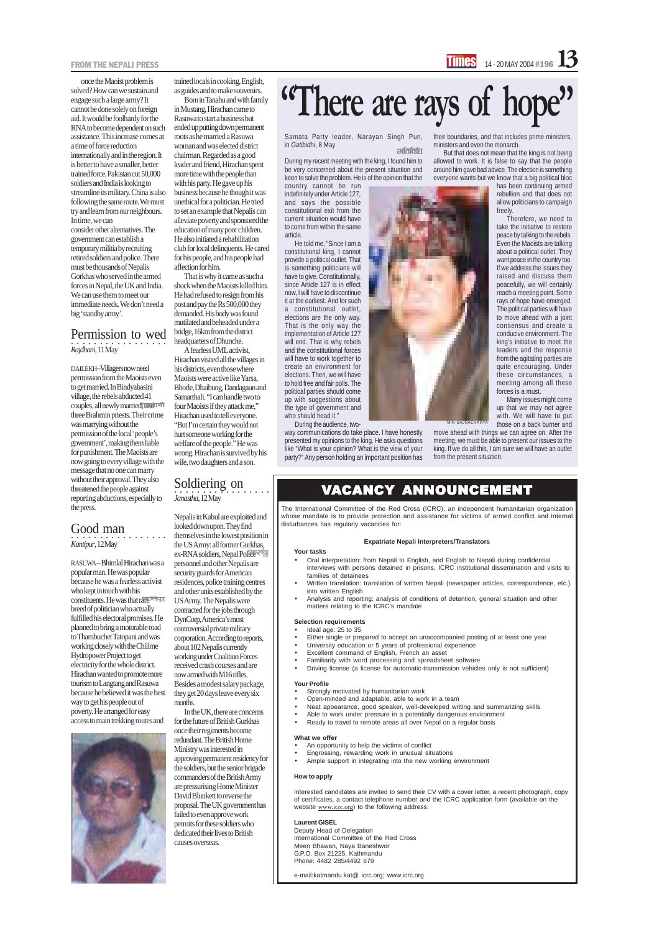Samata Party leader, Narayan Singh Pun, in *Gatibidhi*, 8 May गतिविधि

During my recent meeting with the king, I found him to be very concerned about the present situation and keen to solve the problem. He is of the opinion that the

He told me, "Since I am a constitutional king, I cannot provide a political outlet. That is something politicians will have to give. Constitutionally, since Article 127 is in effect now, I will have to discontinue it at the earliest. And for such a constitutional outlet, elections are the only way. That is the only way the implementation of Article 127 will end. That is why rebels and the constitutional forces will have to work together to create an environment for elections. Then, we will have to hold free and fair polls. The political parties should come up with suggestions about the type of government and who should head it."

country cannot be run indefinitely under Article 127, and says the possible constitutional exit from the current situation would have to come from within the same article.

- Ideal age: 25 to 35
- Either single or prepared to accept an unaccompanied posting of at least one year University education or 5 years of professional experience Excellent command of English, French an asset



During the audience, twoway communications do take place. I have honestly presented my opinions to the king. He asks questions like "What is your opinion? What is the view of your party?" Any person holding an important position has

## **"There are rays of hope"**

- An opportunity to help the victims of conflict
- Engrossing, rewarding work in unusual situations
- Ample support in integrating into the new working environment

The International Committee of the Red Cross (ICRC), an independent humanitarian organization whose mandate is to provide protection and assistance for victims of armed conflict and internal disturbances has regularly vacancies for:

Interested candidates are invited to send their CV with a cover letter, a recent photograph, copy of certificates, a contact telephone number and the ICRC application form (available on the website www.icrc.org) to the following address:

#### **Expatriate Nepali Interpreters/Translators**

#### **Your tasks**

- Oral interpretation: from Nepali to English, and English to Nepali during confidential interviews with persons detained in prisons, ICRC institutional dissemination and visits to families of detainees
- Written translation: translation of written Nepali (newspaper articles, correspondence, etc.) into written English
- Analysis and reporting: analysis of conditions of detention, general situation and other matters relating to the ICRC's mandate

#### **Selection requirements**

- Familiarity with word processing and spreadsheet software
- Driving license (a license for automatic-transmission vehicles only is not sufficient)

#### **Your Profile**

- Strongly motivated by humanitarian work
- Open-minded and adaptable, able to work in a team
- Neat appearance, good speaker, well-developed writing and summarizing skills
- Able to work under pressure in a potentially dangerous environment
- Ready to travel to remote areas all over Nepal on a regular basis

#### **What we offer**

#### **How to apply**

#### **Laurent GISEL**

Deputy Head of Delegation International Committee of the Red Cross Meen Bhawan, Naya Baneshwor G.P.O. Box 21225, Kathmandu Phone: 4482 285/4492 679

e-mail:katmandu.kat@ icrc.org; www.icrc.org

#### VACANCY ANNOUNCEMENT

their boundaries, and that includes prime ministers, ministers and even the monarch.

But that does not mean that the king is not being allowed to work. It is false to say that the people around him gave bad advice. The election is something everyone wants but we know that a big political bloc

> has been continuing armed rebellion and that does not allow politicians to campaign freely.

#### **・・・・・・・・・・・・・・・・・**<br>*Janastha*, 12 May Soldiering on

Therefore, we need to take the initiative to restore peace by talking to the rebels. Even the Maoists are talking about a political outlet. They want peace in the country too. If we address the issues they raised and discuss them peacefully, we will certainly reach a meeting point. Some rays of hope have emerged. The political parties will have to move ahead with a joint consensus and create a conducive environment. The king's initiative to meet the leaders and the response from the agitating parties are quite encouraging. Under these circumstances, a meeting among all these forces is a must.

about 102 Nepalis currently working under Coalition Forces received crash courses and are now armed with M16 rifles. Besides a modest salary package, they get 20 days leave every six months.

Many issues might come up that we may not agree with. We will have to put those on a back burner and

move ahead with things we can agree on. After the meeting, we must be able to present our issues to the king. If we do all this, I am sure we will have an outlet from the present situation.

once the Maoist problem is solved? How can we sustain and engage such a large army? It cannot be done solely on foreign aid. It would be foolhardy for the RNA to become dependent on such assistance. This increase comes at a time of force reduction internationally and in the region. It is better to have a smaller, better trained force. Pakistan cut 50,000 soldiers and India is looking to streamline its military. China is also following the same route. We must try and learn from our neighbours. In time, we can consider other alternatives. The government can establish a temporary militia by recruiting retired soldiers and police. There must be thousands of Nepalis Gorkhas who served in the armed forces in Nepal, the UK and India. We can use them to meet our immediate needs. We don't need a big 'standby army'.

#### ○○○○○○○○○○○○○○○○○ *Rajdhani*, 11 May Permission to wed

DAILEKH–Villagers now need permission from the Maoists even to get married. In Bindyabasini village, the rebels abducted 41 couples, all newly married, and refit three Brahmin priests. Their crime was marrying without the permission of the local 'people's government', making them liable for punishment. The Maoists are now going to every village with the message that no one can marry without their approval. They also threatened the people against reporting abductions, especially to the press.

#### Good man ○○○○○○○○○○○○○○○○○

*Kantipur*, 12 May

RASUWA – Bhimlal Hirachan was a popular man. He was popular because he was a fearless activist who kept in touch with his constituents. He was that rare rate breed of politician who actually fulfilled his electoral promises. He planned to bring a motorable road to Thambuchet Tatopani and was working closely with the Chilime Hydropower Project to get electricity for the whole district. Hirachan wanted to promote more tourism to Langtang and Rasuwa because he believed it was the best way to get his people out of poverty. He arranged for easy access to main trekking routes and

trained locals in cooking, English, as guides and to make souvenirs.

Born in Tanahu and with family in Mustang, Hirachan came to Rasuwa to start a business but ended up putting down permanent roots as he married a Rasuwa woman and was elected district chairman. Regarded as a good leader and friend, Hirachan spent more time with the people than with his party. He gave up his business because he though it was unethical for a politician. He tried to set an example that Nepalis can alleviate poverty and sponsored the education of many poor children. He also initiated a rehabilitation club for local delinquents. He cared for his people, and his people had affection for him.

That is why it came as such a shock when the Maoists killed him. He had refused to resign from his post and pay the Rs 500,000 they demanded. His body was found mutilated and beheaded under a bridge, 16km from the district headquarters of Dhunche.

A fearless UML activist, Hirachan visited all the villages in his districts, even those where Maoists were active like Yarsa, Bhorle, Dhaibung, Dandagaun and Samarthali. "I can handle two to four Maoists if they attack me," Hirachan used to tell everyone. "But I'm certain they would not hurt someone working for the welfare of the people." He was wrong. Hirachan is survived by his wife, two daughters and a son.

Nepalis in Kabul are exploited and looked down upon. They find themselves in the lowest position in the US Army: all former Gurkhas, ex-RNA soldiers, Nepal Police personnel and other Nepalis are security guards for American residences, police training centres and other units established by the US Army. The Nepalis were contracted for the jobs through DynCorp, America's most controversial private military corporation. According to reports,

In the UK, there are concerns for the future of British Gurkhas once their regiments become redundant. The British Home Ministry was interested in approving permanent residency for the soldiers, but the senior brigade commanders of the British Army are pressurising Home Minister David Blunkett to reverse the proposal. The UK government has failed to even approve work permits for these soldiers who dedicated their lives to British causes overseas.

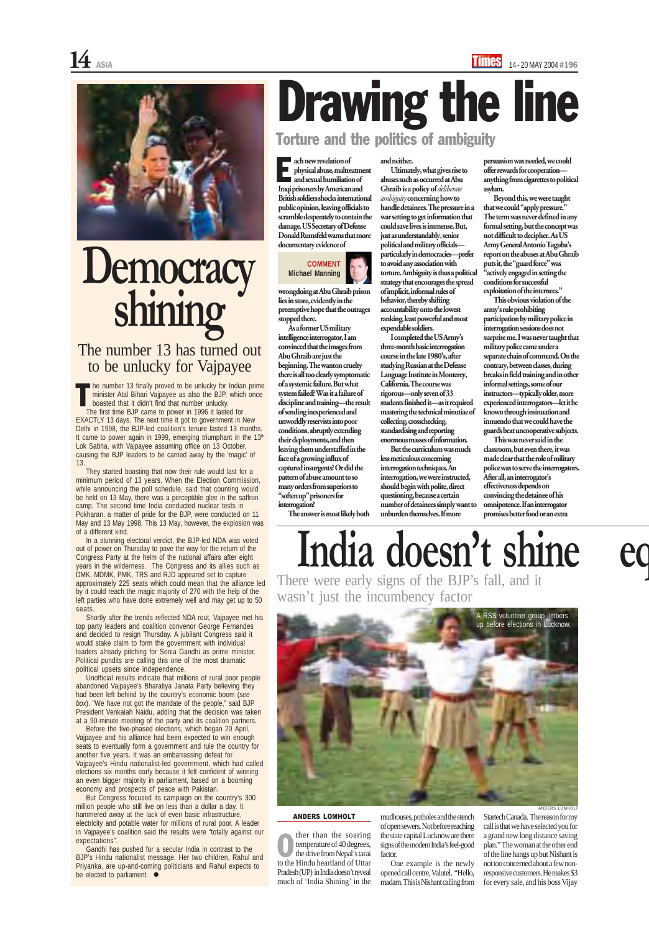

#### ANDERS LOMHOLT

ther than the soaring temperature of 40 degrees, the drive from Nepal's tarai ther than the soaring<br>temperature of 40 degrees,<br>the drive from Nepal's tarai<br>to the Hindu heartland of Uttar Pradesh (UP) in India doesn't reveal much of 'India Shining' in the

mudhouses, potholes and the stench of open sewers. Not before reaching the state capital Lucknow are there signs of the modern India's feel-good factor.

One example is the newly opened call centre, Valutel. "Hello, madam. This is Nishant calling from Startech Canada. The reason for my call is that we have selected you for a grand new long distance saving plan." The woman at the other end of the line hangs up but Nishant is not too concerned about a few nonresponsive customers. He makes \$3 for every sale, and his boss Vijay

#### wrongdoing at Abu Ghraib prison lies in store, evidently in the preemptive hope that the outrages stopped there.

As a former US military intelligence interrogator, I am convinced that the images from Abu Ghraib are just the beginning. The wanton cruelty there is all too clearly symptomatic of a systemic failure. But what system failed? Was it a failure of discipline and training—the result of sending inexperienced and unworldly reservists into poor conditions, abruptly extending their deployments, and then leaving them understaffed in the face of a growing influx of captured insurgents? Or did the pattern of abuse amount to so many orders from superiors to "soften up" prisoners for interrogation?

The answer is most likely both

#### and neither.

Ultimately, what gives rise to abuses such as occurred at Abu Ghraib is a policy of *deliberate ambiguity* concerning how to handle detainees. The pressure in a war setting to get information that could save lives is immense. But, just as understandably, senior political and military officials particularly in democracies—prefer to avoid any association with torture. Ambiguity is thus a political strategy that encourages the spread of implicit, informal rules of behavior, thereby shifting accountability onto the lowest ranking, least powerful and most expendable soldiers.

ach new revelation of physical abuse, maltreatment and sexual humiliation of Iraqi prisoners by American and British soldiers shocks international public opinion, leaving officials to scramble desperately to contain the damage. US Secretary of Defense Donald Rumsfeld warns that more documentary evidence of E

> I completed the US Army's three-month basic interrogation course in the late 1980's, after studying Russian at the Defense Language Institute in Monterey, California. The course was rigorous—only seven of 33 students finished it—as it required mastering the technical minutiae of collecting, crosschecking, standardising and reporting enormous masses of information.

Shortly after the trends reflected NDA rout, Vajpayee met his top party leaders and coalition convenor George Fernandes and decided to resign Thursday. A jubilant Congress said it would stake claim to form the government with individual leaders already pitching for Sonia Gandhi as prime minister. Political pundits are calling this one of the most dramatic political upsets since independence. Unofficial results indicate that millions of rural poor people abandoned Vajpayee's Bharatiya Janata Party believing they had been left behind by the country's economic boom (*see box*). "We have not got the mandate of the people," said BJP President Venkaiah Naidu, adding that the decision was taken at a 90-minute meeting of the party and its coalition partners. Before the five-phased elections, which began 20 April, Vajpayee and his alliance had been expected to win enough seats to eventually form a government and rule the country for another five years. It was an embarrassing defeat for Vajpayee's Hindu nationalist-led government, which had called elections six months early because it felt confident of winning an even bigger majority in parliament, based on a booming economy and prospects of peace with Pakistan. But Congress focused its campaign on the country's 300 million people who still live on less than a dollar a day. It hammered away at the lack of even basic infrastructure, electricity and potable water for millions of rural poor. A leader in Vajpayee's coalition said the results were "totally against our expectations". Gandhi has pushed for a secular India in contrast to the BJP's Hindu nationalist message. Her two children, Rahul and Priyanka, are up-and-coming politicians and Rahul expects to be elected to parliament.  $\bullet$ 

But the curriculum was much less meticulous concerning interrogation techniques. An interrogation, we were instructed, should begin with polite, direct questioning, because a certain number of detainees simply want to unburden themselves. If more

persuasion was needed, we could offer rewards for cooperation anything from cigarettes to political asylum.

Beyond this, we were taught that we could "apply pressure." The term was never defined in any formal setting, but the concept was not difficult to decipher. As US Army General Antonio Taguba's report on the abuses at Abu Ghraib puts it, the "guard force" was "actively engaged in setting the conditions for successful exploitation of the internees."

This obvious violation of the army's rule prohibiting participation by military police in interrogation sessions does not surprise me. I was never taught that military police came under a separate chain of command. On the contrary, between classes, during breaks in field training and in other informal settings, some of our instructors—typically older, more experienced interrogators—let it be known through insinuation and innuendo that we could have the guards beat uncooperative subjects.

he number 13 finally proved to be unlucky for Indian prime minister Atal Bihari Vajpayee as also the BJP, which once boasted that it didn't find that number unlucky. T

> This was never said in the classroom, but even there, it was made clear that the role of military police was to serve the interrogators. After all, an interrogator's effectiveness depends on convincing the detainee of his omnipotence. If an interrogator promises better food or an extra

Torture and the politics of ambiguity

# Drawing the line

#### **COMMENT Michael Manning**

A RSS volunteer group limbers up before elections in Lucknow.



The first time BJP came to power in 1996 it lasted for EXACTLY 13 days. The next time it got to government in New Delhi in 1998, the BJP-led coalition's tenure lasted 13 months. It came to power again in 1999, emerging triumphant in the 13<sup>th</sup> Lok Sabha, with Vajpayee assuming office on 13 October, causing the BJP leaders to be carried away by the 'magic' of 13.

They started boasting that now their rule would last for a minimum period of 13 years. When the Election Commission, while announcing the poll schedule, said that counting would be held on 13 May, there was a perceptible glee in the saffron camp. The second time India conducted nuclear tests in Pokharan, a matter of pride for the BJP, were conducted on 11 May and 13 May 1998. This 13 May, however, the explosion was of a different kind.

In a stunning electoral verdict, the BJP-led NDA was voted out of power on Thursday to pave the way for the return of the Congress Party at the helm of the national affairs after eight years in the wilderness. The Congress and its allies such as DMK, MDMK, PMK, TRS and RJD appeared set to capture approximately 225 seats which could mean that the alliance led by it could reach the magic majority of 270 with the help of the left parties who have done extremely well and may get up to 50 seats.



## **Democracy shining**

#### The number 13 has turned out to be unlucky for Vajpayee

ANDERS LOMHOLT